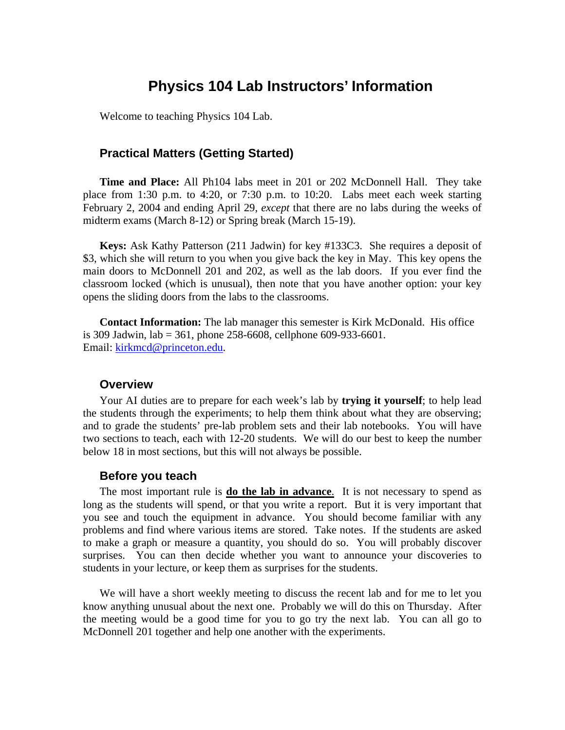# **Physics 104 Lab Instructors' Information**

Welcome to teaching Physics 104 Lab.

# **Practical Matters (Getting Started)**

**Time and Place:** All Ph104 labs meet in 201 or 202 McDonnell Hall. They take place from 1:30 p.m. to 4:20, or 7:30 p.m. to 10:20. Labs meet each week starting February 2, 2004 and ending April 29, *except* that there are no labs during the weeks of midterm exams (March 8-12) or Spring break (March 15-19).

**Keys:** Ask Kathy Patterson (211 Jadwin) for key #133C3. She requires a deposit of \$3, which she will return to you when you give back the key in May. This key opens the main doors to McDonnell 201 and 202, as well as the lab doors. If you ever find the classroom locked (which is unusual), then note that you have another option: your key opens the sliding doors from the labs to the classrooms.

**Contact Information:** The lab manager this semester is Kirk McDonald. His office is 309 Jadwin, lab = 361, phone 258-6608, cellphone 609-933-6601. Email: kirkmcd@princeton.edu.

#### **Overview**

Your AI duties are to prepare for each week's lab by **trying it yourself**; to help lead the students through the experiments; to help them think about what they are observing; and to grade the students' pre-lab problem sets and their lab notebooks. You will have two sections to teach, each with 12-20 students. We will do our best to keep the number below 18 in most sections, but this will not always be possible.

#### **Before you teach**

The most important rule is **do the lab in advance**. It is not necessary to spend as long as the students will spend, or that you write a report. But it is very important that you see and touch the equipment in advance. You should become familiar with any problems and find where various items are stored. Take notes. If the students are asked to make a graph or measure a quantity, you should do so. You will probably discover surprises. You can then decide whether you want to announce your discoveries to students in your lecture, or keep them as surprises for the students.

We will have a short weekly meeting to discuss the recent lab and for me to let you know anything unusual about the next one. Probably we will do this on Thursday. After the meeting would be a good time for you to go try the next lab. You can all go to McDonnell 201 together and help one another with the experiments.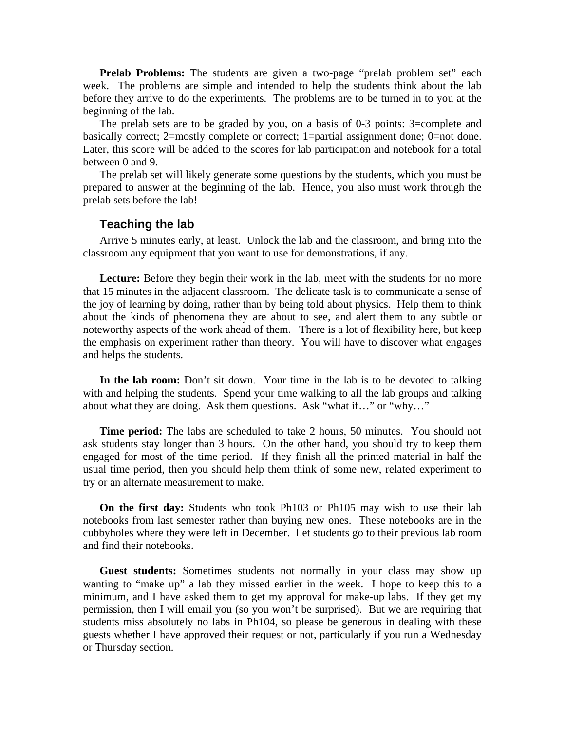**Prelab Problems:** The students are given a two-page "prelab problem set" each week. The problems are simple and intended to help the students think about the lab before they arrive to do the experiments. The problems are to be turned in to you at the beginning of the lab.

The prelab sets are to be graded by you, on a basis of 0-3 points: 3=complete and basically correct; 2=mostly complete or correct; 1=partial assignment done; 0=not done. Later, this score will be added to the scores for lab participation and notebook for a total between 0 and 9.

The prelab set will likely generate some questions by the students, which you must be prepared to answer at the beginning of the lab. Hence, you also must work through the prelab sets before the lab!

## **Teaching the lab**

Arrive 5 minutes early, at least. Unlock the lab and the classroom, and bring into the classroom any equipment that you want to use for demonstrations, if any.

Lecture: Before they begin their work in the lab, meet with the students for no more that 15 minutes in the adjacent classroom.The delicate task is to communicate a sense of the joy of learning by doing, rather than by being told about physics. Help them to think about the kinds of phenomena they are about to see, and alert them to any subtle or noteworthy aspects of the work ahead of them. There is a lot of flexibility here, but keep the emphasis on experiment rather than theory. You will have to discover what engages and helps the students.

In the lab room: Don't sit down. Your time in the lab is to be devoted to talking with and helping the students. Spend your time walking to all the lab groups and talking about what they are doing. Ask them questions. Ask "what if…" or "why…"

**Time period:** The labs are scheduled to take 2 hours, 50 minutes. You should not ask students stay longer than 3 hours. On the other hand, you should try to keep them engaged for most of the time period. If they finish all the printed material in half the usual time period, then you should help them think of some new, related experiment to try or an alternate measurement to make.

**On the first day:** Students who took Ph103 or Ph105 may wish to use their lab notebooks from last semester rather than buying new ones. These notebooks are in the cubbyholes where they were left in December. Let students go to their previous lab room and find their notebooks.

**Guest students:** Sometimes students not normally in your class may show up wanting to "make up" a lab they missed earlier in the week. I hope to keep this to a minimum, and I have asked them to get my approval for make-up labs. If they get my permission, then I will email you (so you won't be surprised). But we are requiring that students miss absolutely no labs in Ph104, so please be generous in dealing with these guests whether I have approved their request or not, particularly if you run a Wednesday or Thursday section.